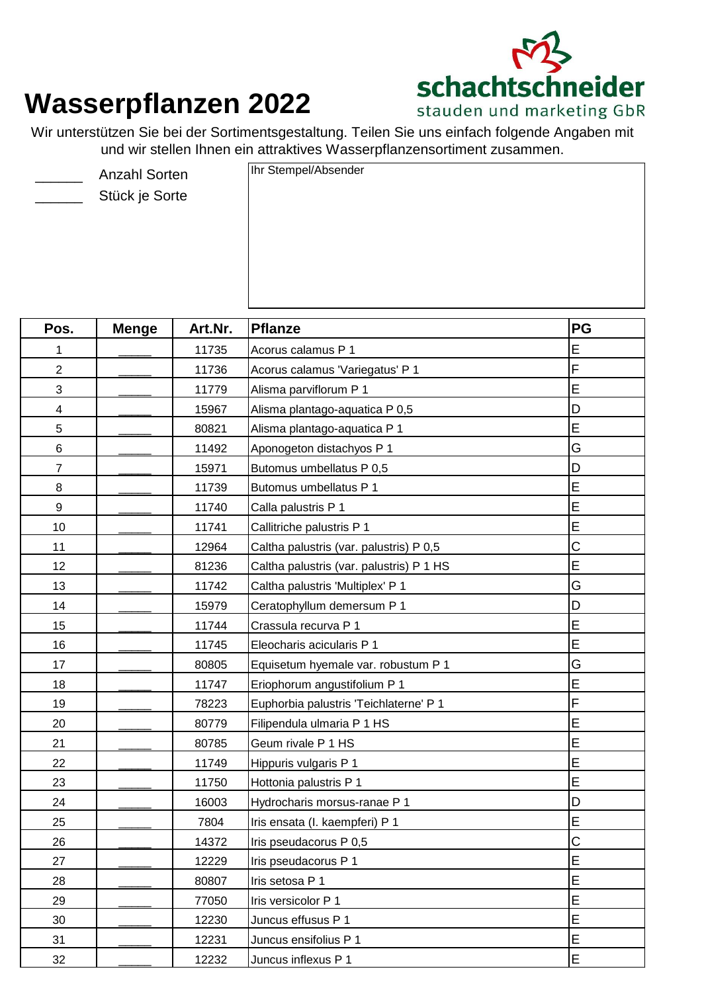

## **Wasserpflanzen 2022**

Wir unterstützen Sie bei der Sortimentsgestaltung. Teilen Sie uns einfach folgende Angaben mit und wir stellen Ihnen ein attraktives Wasserpflanzensortiment zusammen.

- $\overline{\phantom{a}}$ 
	- Stück je Sorte

Anzahl Sorten Ihr Stempel/Absender

| Pos.                     | <b>Menge</b> | Art.Nr. | <b>Pflanze</b>                           | <b>PG</b>   |  |
|--------------------------|--------------|---------|------------------------------------------|-------------|--|
| 1                        |              | 11735   | Acorus calamus P 1                       | E           |  |
| $\overline{2}$           |              | 11736   | Acorus calamus 'Variegatus' P 1          | F           |  |
| 3                        |              | 11779   | Alisma parviflorum P 1                   | E           |  |
| $\overline{\mathcal{A}}$ |              | 15967   | Alisma plantago-aquatica P 0,5           | D           |  |
| 5                        |              | 80821   | Alisma plantago-aquatica P 1             | E           |  |
| $\,6\,$                  |              | 11492   | Aponogeton distachyos P 1                | G           |  |
| $\overline{7}$           |              | 15971   | Butomus umbellatus P 0,5                 | D           |  |
| 8                        |              | 11739   | Butomus umbellatus P 1                   | E           |  |
| $\mathsf g$              |              | 11740   | Calla palustris P 1                      | Ė           |  |
| 10                       |              | 11741   | Callitriche palustris P 1                | E           |  |
| 11                       |              | 12964   | Caltha palustris (var. palustris) P 0,5  | C           |  |
| 12                       |              | 81236   | Caltha palustris (var. palustris) P 1 HS | E           |  |
| 13                       |              | 11742   | Caltha palustris 'Multiplex' P 1         | G           |  |
| 14                       |              | 15979   | Ceratophyllum demersum P 1               | D           |  |
| 15                       |              | 11744   | Crassula recurva P 1                     | E           |  |
| 16                       |              | 11745   | Eleocharis acicularis P 1                | E           |  |
| 17                       |              | 80805   | Equisetum hyemale var. robustum P 1      | G           |  |
| 18                       |              | 11747   | Eriophorum angustifolium P 1             | Ė           |  |
| 19                       |              | 78223   | Euphorbia palustris 'Teichlaterne' P 1   | F           |  |
| 20                       |              | 80779   | Filipendula ulmaria P 1 HS               | E           |  |
| 21                       |              | 80785   | Geum rivale P 1 HS                       | E           |  |
| 22                       |              | 11749   | Hippuris vulgaris P 1                    | E           |  |
| 23                       |              | 11750   | Hottonia palustris P 1                   | E           |  |
| 24                       |              | 16003   | Hydrocharis morsus-ranae P 1             | D           |  |
| 25                       |              | 7804    | Iris ensata (I. kaempferi) P 1           | E           |  |
| 26                       |              | 14372   | Iris pseudacorus P 0,5                   | $\mathsf C$ |  |
| 27                       |              | 12229   | Iris pseudacorus P 1                     | E           |  |
| 28                       |              | 80807   | Iris setosa P 1                          | E           |  |
| 29                       |              | 77050   | Iris versicolor P 1                      | E           |  |
| 30                       |              | 12230   | Juncus effusus P 1                       | E           |  |
| 31                       |              | 12231   | Juncus ensifolius P 1                    | E           |  |
| 32                       |              | 12232   | Juncus inflexus P 1                      | E           |  |